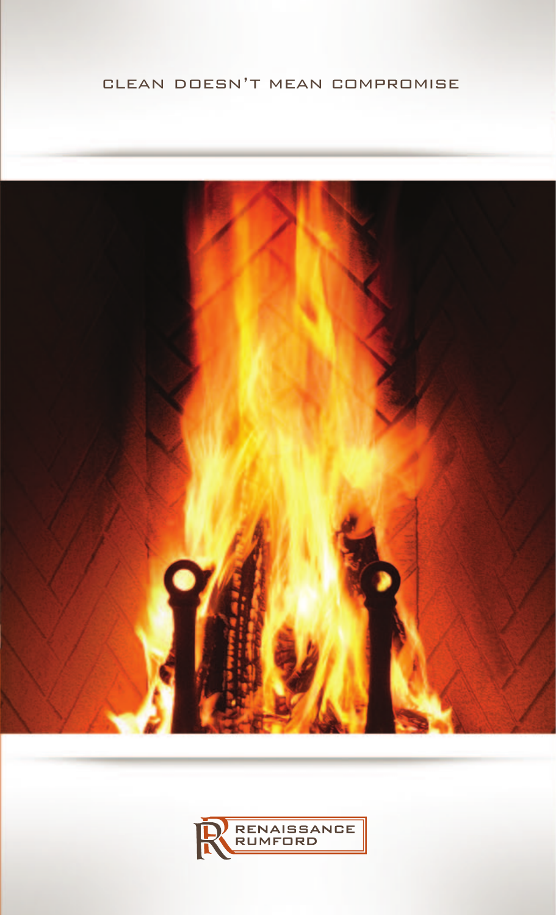### clean doesn't mean compromise



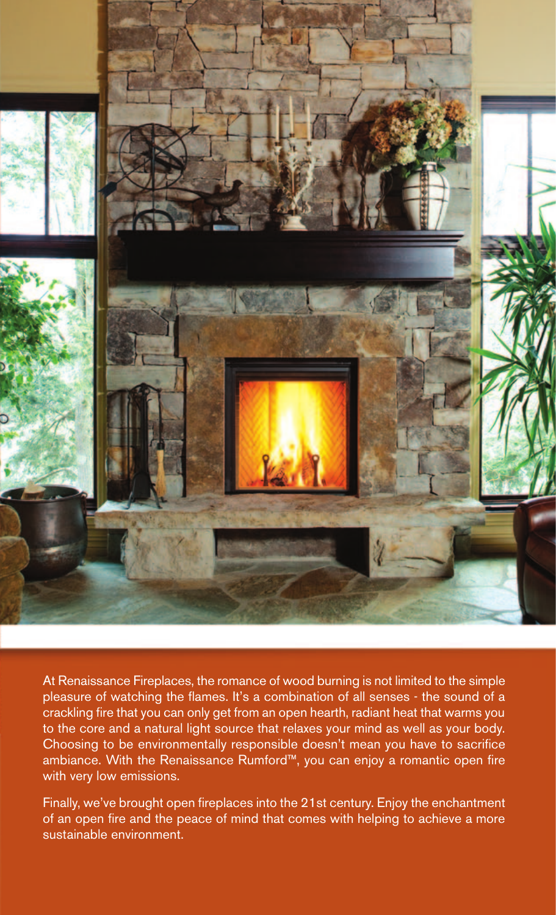

At Renaissance Fireplaces, the romance of wood burning is not limited to the simple pleasure of watching the flames. It's a combination of all senses - the sound of a crackling fire that you can only get from an open hearth, radiant heat that warms you to the core and a natural light source that relaxes your mind as well as your body. Choosing to be environmentally responsible doesn't mean you have to sacrifice ambiance. With the Renaissance Rumford™, you can enjoy a romantic open fire with very low emissions.

Finally, we've brought open fireplaces into the 21st century. Enjoy the enchantment of an open fire and the peace of mind that comes with helping to achieve a more sustainable environment.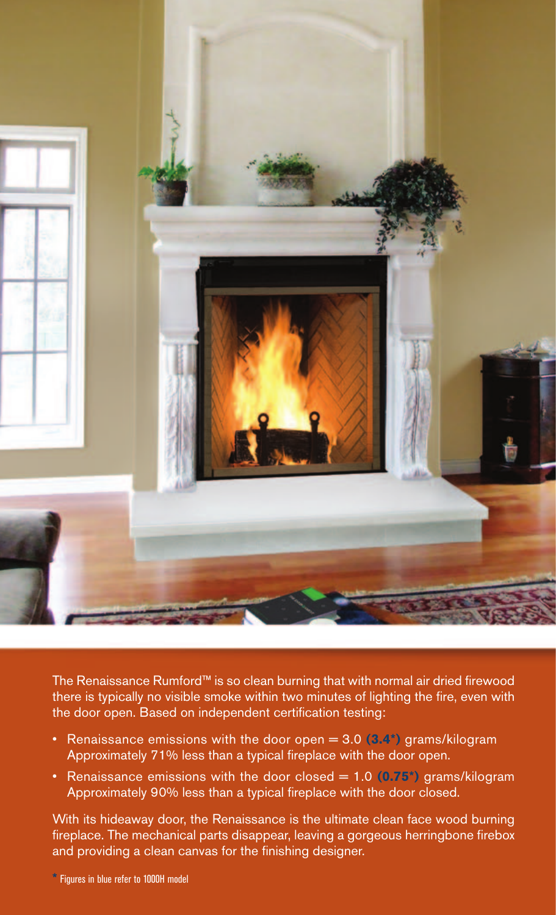

The Renaissance Rumford™ is so clean burning that with normal air dried firewood there is typically no visible smoke within two minutes of lighting the fire, even with the door open. Based on independent certification testing:

- Renaissance emissions with the door open = 3.0 **(3.4\*)** grams/kilogram Approximately 71% less than a typical fireplace with the door open.
- Renaissance emissions with the door closed = 1.0 **(0.75\*)** grams/kilogram Approximately 90% less than a typical fireplace with the door closed.

With its hideaway door, the Renaissance is the ultimate clean face wood burning fireplace. The mechanical parts disappear, leaving a gorgeous herringbone firebox and providing a clean canvas for the finishing designer.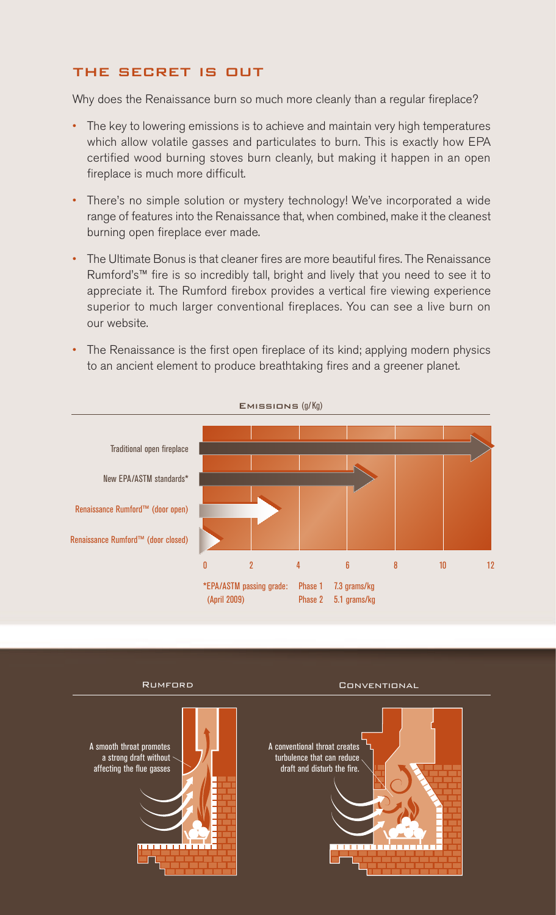### the secret is out

Why does the Renaissance burn so much more cleanly than a regular fireplace?

- The key to lowering emissions is to achieve and maintain very high temperatures which allow volatile gasses and particulates to burn. This is exactly how EPA certified wood burning stoves burn cleanly, but making it happen in an open fireplace is much more difficult.
- There's no simple solution or mystery technology! We've incorporated a wide range of features into the Renaissance that, when combined, make it the cleanest burning open fireplace ever made.
- The Ultimate Bonus is that cleaner fires are more beautiful fires. The Renaissance Rumford's™ fire is so incredibly tall, bright and lively that you need to see it to appreciate it. The Rumford firebox provides a vertical fire viewing experience superior to much larger conventional fireplaces. You can see a live burn on our website.
- The Renaissance is the first open fireplace of its kind; applying modern physics to an ancient element to produce breathtaking fires and a greener planet.



![](_page_3_Picture_7.jpeg)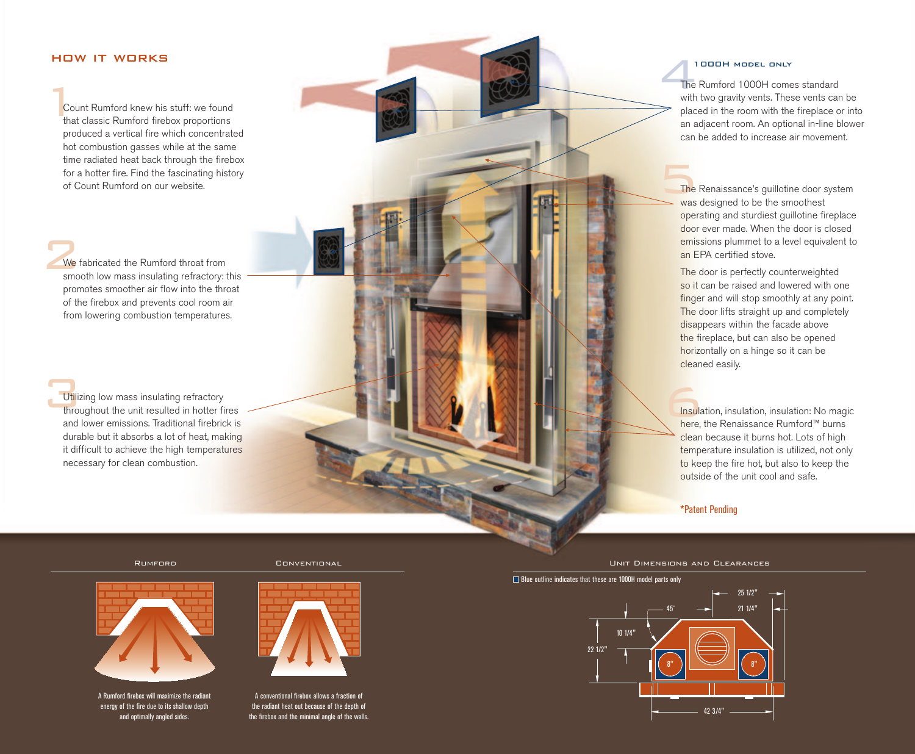# how it works the contract of the contract of the contract of the contract of the contract of the contract of the contract of the contract of the contract of the contract of the contract of the contract of the contract of t

1Count Rumford knew his stuff: we found that classic Rumford firebox proportions produced a vertical fire which concentrated hot combustion gasses while at the same time radiated heat back through the firebox for a hotter fire. Find the fascinating history of Count Rumford on our website.

2We fabricated the Rumford throat from smooth low mass insulating refractory: this promotes smoother air flow into the throat of the firebox and prevents cool room air from lowering combustion temperatures.

Utilizing low mass insulating refractory throughout the unit resulted in hotter fires and lower emissions. Traditional firebrick is durable but it absorbs a lot of heat, making it difficult to achieve the high temperatures necessary for clean combustion.

#### 1000H model only

The<br>The<br>with The Rumford 1000H comes standard with two gravity vents. These vents can be placed in the room with the fireplace or into an adjacent room. An optional in-line blower can be added to increase air movement.

 $\frac{1}{\sqrt{1}}$  was The Renaissance's guillotine door system was designed to be the smoothest operating and sturdiest guillotine fireplace door ever made. When the door is closed emissions plummet to a level equivalent to an EPA certified stove.

> The door is perfectly counterweighted so it can be raised and lowered with one finger and will stop smoothly at any point. The door lifts straight up and completely disappears within the facade above the fireplace, but can also be opened horizontally on a hinge so it can be cleaned easily.

> Insulation, insulation, insulation: No magic here, the Renaissance Rumford™ burns clean because it burns hot. Lots of high temperature insulation is utilized, not only to keep the fire hot, but also to keep the outside of the unit cool and safe.

\*Patent Pending

Rumford Conventional

![](_page_4_Picture_11.jpeg)

A Rumford firebox will maximize the radiant energy of the fire due to its shallow depth and optimally angled sides.

![](_page_4_Picture_13.jpeg)

A conventional firebox allows a fraction of the radiant heat out because of the depth of the firebox and the minimal angle of the walls. Unit Dimensions and Clearances

#### Blue outline indicates that these are 1000H model parts only

![](_page_4_Figure_17.jpeg)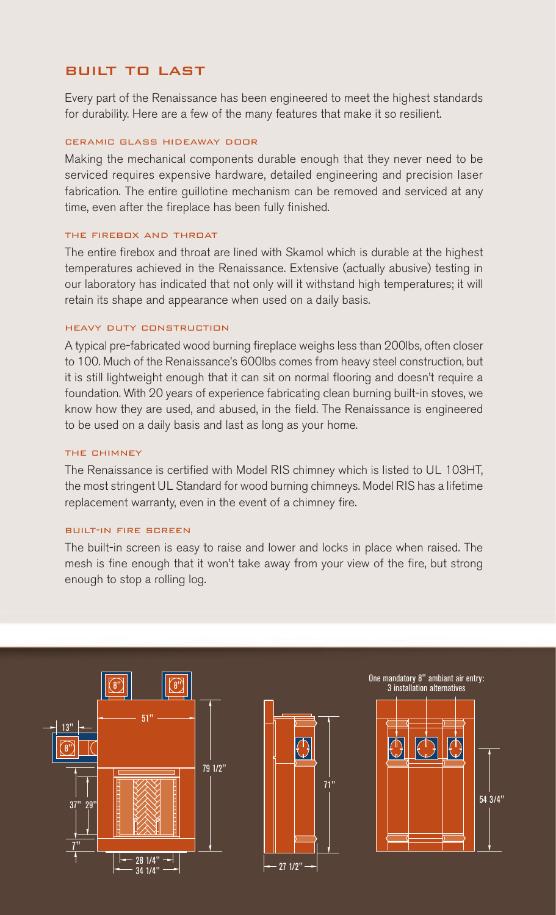# **how it would be it works built to last**

Every part of the Renaissance has been engineered to meet the highest standards for durability. Here are a few of the many features that make it so resilient.

#### ceramic glass hideaway door

Making the mechanical components durable enough that they never need to be serviced requires expensive hardware, detailed engineering and precision laser fabrication. The entire guillotine mechanism can be removed and serviced at any time, even after the fireplace has been fully finished.

#### the firebox and throat

The entire firebox and throat are lined with Skamol which is durable at the highest temperatures achieved in the Renaissance. Extensive (actually abusive) testing in our laboratory has indicated that not only will it withstand high temperatures; it will retain its shape and appearance when used on a daily basis.

#### heavy duty construction

A typical pre-fabricated wood burning fireplace weighs less than 200lbs, often closer to 100. Much of the Renaissance's 600lbs comes from heavy steel construction, but it is still lightweight enough that it can sit on normal flooring and doesn't require a foundation. With 20 years of experience fabricating clean burning built-in stoves, we know how they are used, and abused, in the field. The Renaissance is engineered to be used on a daily basis and last as long as your home.

#### the chimney

The Renaissance is certified with Model RIS chimney which is listed to UL 103HT, the most stringent UL Standard for wood burning chimneys. Model RIS has a lifetime replacement warranty, even in the event of a chimney fire.

#### built-in fire screen

The built-in screen is easy to raise and lower and locks in place when raised. The mesh is fine enough that it won't take away from your view of the fire, but strong enough to stop a rolling log.

![](_page_5_Figure_12.jpeg)